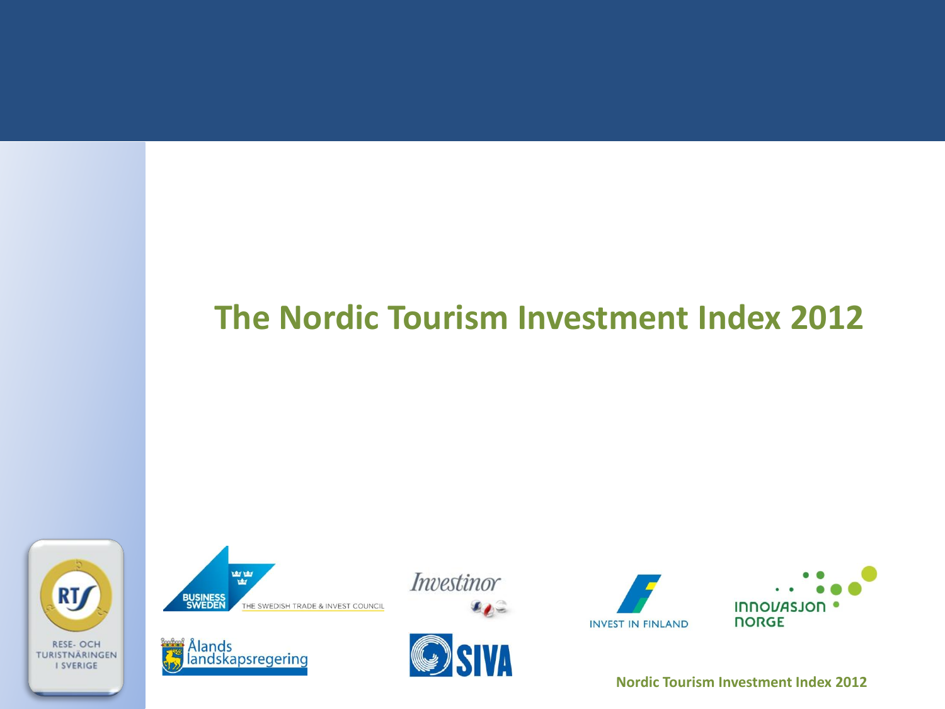# The Nordic Tourism Investment Index 2012













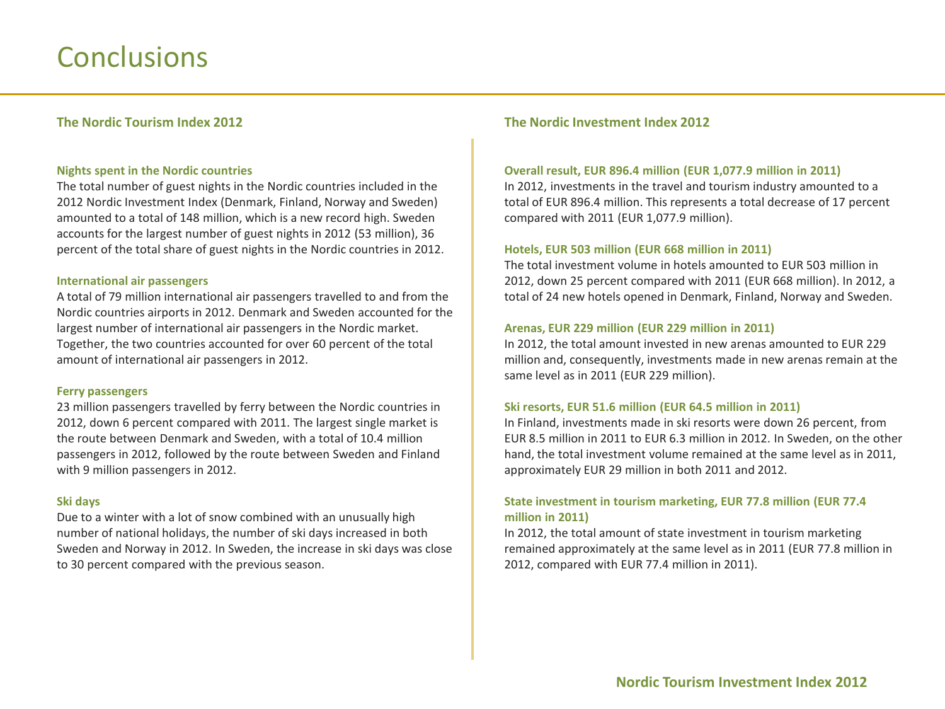## **Conclusions**

## **The Nordic Tourism Index 2012**

## **Nights spent in the Nordic countries**

The total number of guest nights in the Nordic countries included in the 2012 Nordic Investment Index (Denmark, Finland, Norway and Sweden) amounted to a total of 148 million, which is a new record high. Sweden accounts for the largest number of guest nights in 2012 (53 million), 36 percent of the total share of guest nights in the Nordic countries in 2012.

## **International'air'passengers**

A total of 79 million international air passengers travelled to and from the Nordic countries airports in 2012. Denmark and Sweden accounted for the largest number of international air passengers in the Nordic market. Together, the two countries accounted for over 60 percent of the total amount of international air passengers in 2012.

## **Ferry'passengers'**

23 million passengers travelled by ferry between the Nordic countries in 2012, down 6 percent compared with 2011. The largest single market is the route between Denmark and Sweden, with a total of 10.4 million passengers in 2012, followed by the route between Sweden and Finland with 9 million passengers in 2012.

## **Ski'days**

Due to a winter with a lot of snow combined with an unusually high number of national holidays, the number of ski days increased in both Sweden and Norway in 2012. In Sweden, the increase in ski days was close to 30 percent compared with the previous season.

## **The Nordic Investment Index 2012**

### **Overall'result,'EUR'896.4'million'(EUR'1,077.9'million'in'2011)**

In 2012, investments in the travel and tourism industry amounted to a total of EUR 896.4 million. This represents a total decrease of 17 percent compared with 2011 (EUR 1,077.9 million).

## **Hotels,'EUR'503'million'(EUR'668'million'in'2011)**

The total investment volume in hotels amounted to EUR 503 million in 2012, down 25 percent compared with 2011 (EUR 668 million). In 2012, a total of 24 new hotels opened in Denmark, Finland, Norway and Sweden.

### **Arenas,'EUR'229'million'(EUR'229'million'in'2011)**

In 2012, the total amount invested in new arenas amounted to EUR 229 million and, consequently, investments made in new arenas remain at the same level as in 2011 (EUR 229 million).

### **Ski'resorts,'EUR'51.6'million'(EUR'64.5'million'in'2011)**

In Finland, investments made in ski resorts were down 26 percent, from EUR 8.5 million in 2011 to EUR 6.3 million in 2012. In Sweden, on the other hand, the total investment volume remained at the same level as in 2011, approximately EUR 29 million in both 2011 and 2012.

## State investment in tourism marketing, EUR 77.8 million (EUR 77.4) **million'in'2011)'**

In 2012, the total amount of state investment in tourism marketing remained approximately at the same level as in 2011 (EUR 77.8 million in) 2012, compared with EUR 77.4 million in 2011).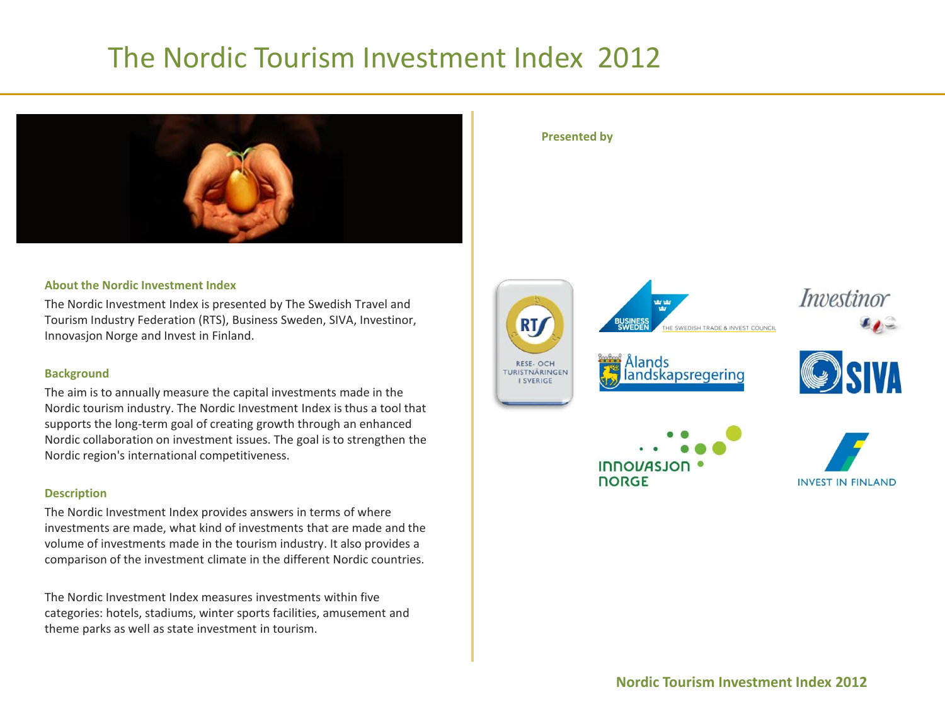## The Nordic Tourism Investment Index 2012



## **About the Nordic Investment Index**

The Nordic Investment Index is presented by The Swedish Travel and Tourism Industry Federation (RTS), Business Sweden, SIVA, Investinor, Innovasjon Norge and Invest in Finland.

## **Background**

The aim is to annually measure the capital investments made in the Nordic tourism industry. The Nordic Investment Index is thus a tool that supports the long-term goal of creating growth through an enhanced Nordic collaboration on investment issues. The goal is to strengthen the Nordic region's international competitiveness.

## **Description**

The Nordic Investment Index provides answers in terms of where investments are made, what kind of investments that are made and the volume of investments made in the tourism industry. It also provides a comparison of the investment climate in the different Nordic countries.

The Nordic Investment Index measures investments within five categories: hotels, stadiums, winter sports facilities, amusement and theme parks as well as state investment in tourism.

## **Presented by**

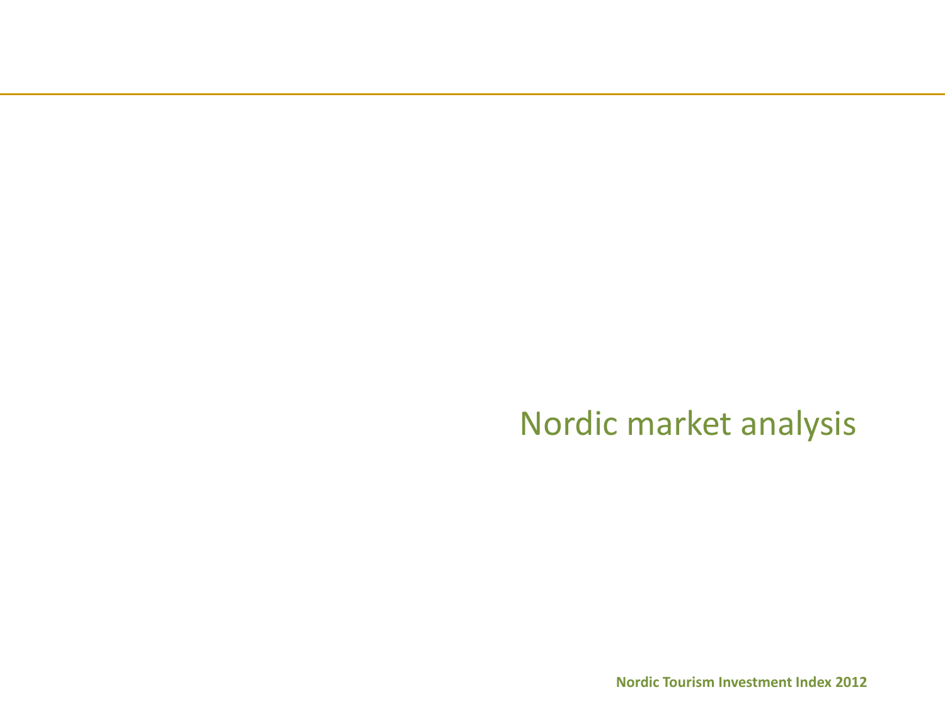Nordic market analysis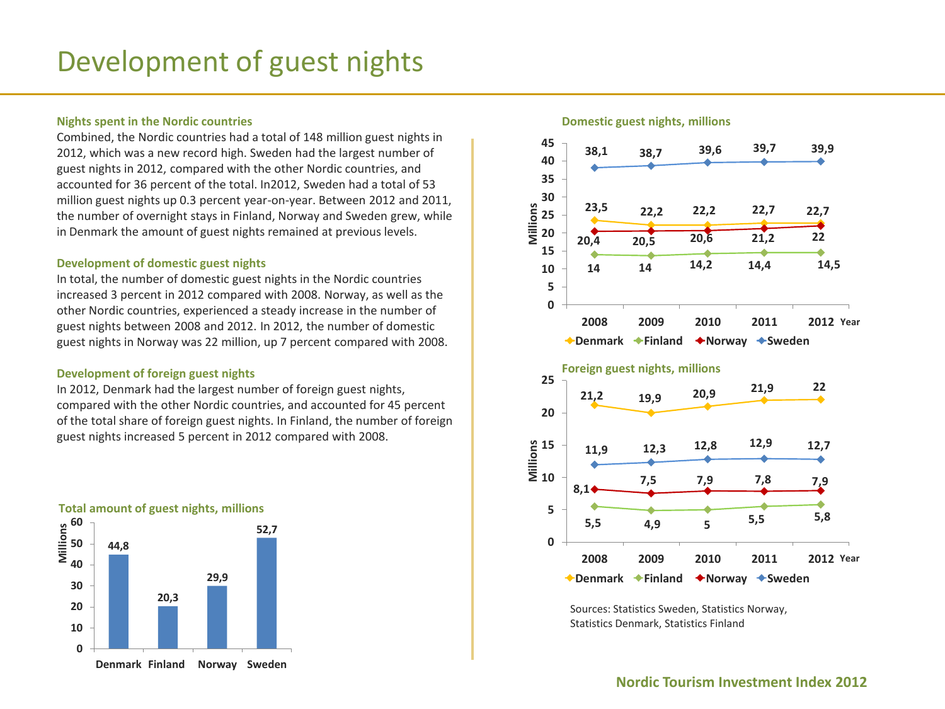## **Nights spent in the Nordic countries**

Combined, the Nordic countries had a total of 148 million guest nights in 2012, which was a new record high. Sweden had the largest number of guest nights in 2012, compared with the other Nordic countries, and accounted for 36 percent of the total. In2012, Sweden had a total of 53 million guest nights up 0.3 percent year-on-year. Between 2012 and 2011, the number of overnight stays in Finland, Norway and Sweden grew, while in Denmark the amount of guest nights remained at previous levels.

## **Development of domestic guest nights**

In total, the number of domestic guest nights in the Nordic countries increased 3 percent in 2012 compared with 2008. Norway, as well as the other Nordic countries, experienced a steady increase in the number of guest nights between 2008 and 2012. In 2012, the number of domestic guest nights in Norway was 22 million, up 7 percent compared with 2008.

## **Development of foreign guest nights**

In 2012, Denmark had the largest number of foreign guest nights, compared with the other Nordic countries, and accounted for 45 percent of the total share of foreign guest nights. In Finland, the number of foreign guest nights increased 5 percent in 2012 compared with 2008.





### **Domestic guest nights, millions**



Sources: Statistics Sweden, Statistics Norway, Statistics Denmark, Statistics Finland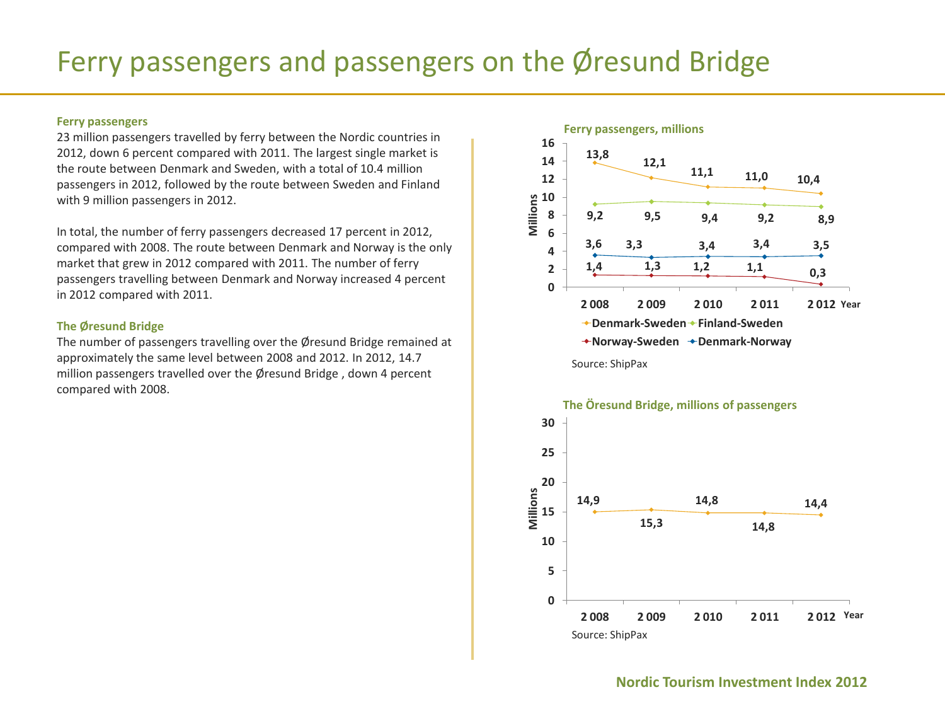# Ferry passengers and passengers on the Øresund Bridge

## **Ferry'passengers'**

23 million passengers travelled by ferry between the Nordic countries in 2012, down 6 percent compared with 2011. The largest single market is the route between Denmark and Sweden, with a total of 10.4 million passengers in 2012, followed by the route between Sweden and Finland with 9 million passengers in 2012.

In total, the number of ferry passengers decreased 17 percent in 2012, compared with 2008. The route between Denmark and Norway is the only market that grew in 2012 compared with 2011. The number of ferry passengers travelling between Denmark and Norway increased 4 percent in 2012 compared with 2011.

## **The'Øresund Bridge**

The number of passengers travelling over the Øresund Bridge remained at approximately the same level between 2008 and 2012. In 2012, 14.7 million passengers travelled over the Øresund Bridge, down 4 percent compared with 2008.



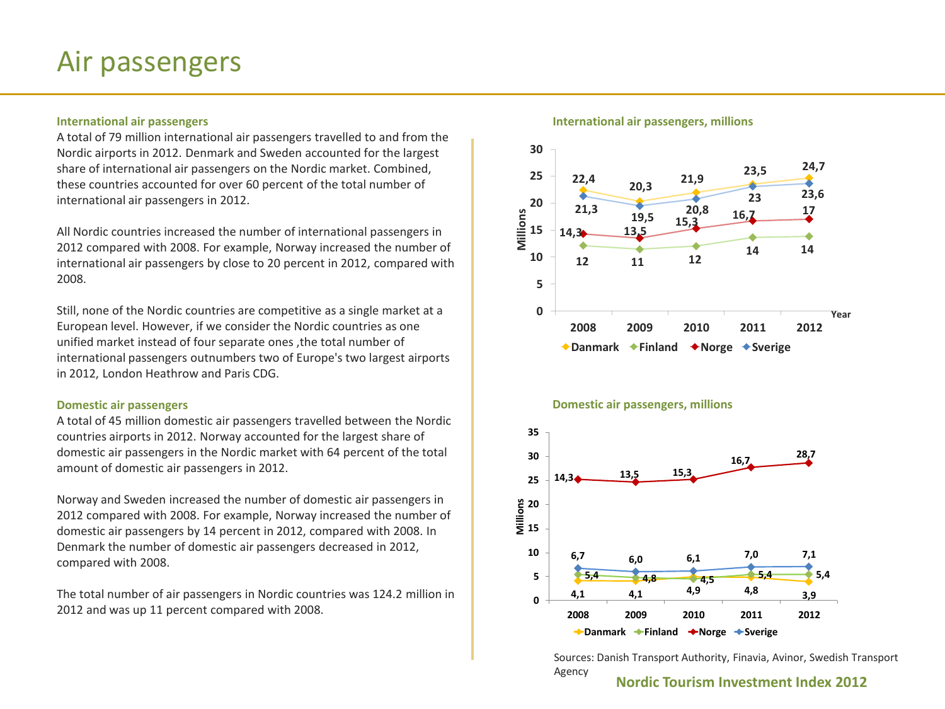## Air passengers

## **International air passengers**

A total of 79 million international air passengers travelled to and from the Nordic airports in 2012. Denmark and Sweden accounted for the largest share of international air passengers on the Nordic market. Combined, these countries accounted for over 60 percent of the total number of international air passengers in 2012.

All Nordic countries increased the number of international passengers in 2012 compared with 2008. For example, Norway increased the number of international air passengers by close to 20 percent in 2012, compared with 2008.)

Still, none of the Nordic countries are competitive as a single market at a European level. However, if we consider the Nordic countries as one unified market instead of four separate ones , the total number of international passengers outnumbers two of Europe's two largest airports in 2012, London Heathrow and Paris CDG.

## **Domestic'air'passengers**

A total of 45 million domestic air passengers travelled between the Nordic countries airports in 2012. Norway accounted for the largest share of domestic air passengers in the Nordic market with 64 percent of the total amount of domestic air passengers in 2012.

Norway and Sweden increased the number of domestic air passengers in 2012 compared with 2008. For example, Norway increased the number of domestic air passengers by 14 percent in 2012, compared with 2008. In Denmark the number of domestic air passengers decreased in 2012, compared with 2008.

The total number of air passengers in Nordic countries was 124.2 million in 2012 and was up 11 percent compared with 2008.

### International air passengers, millions



### **Domestic air passengers, millions**



Sources: Danish Transport Authority, Finavia, Avinor, Swedish Transport Agency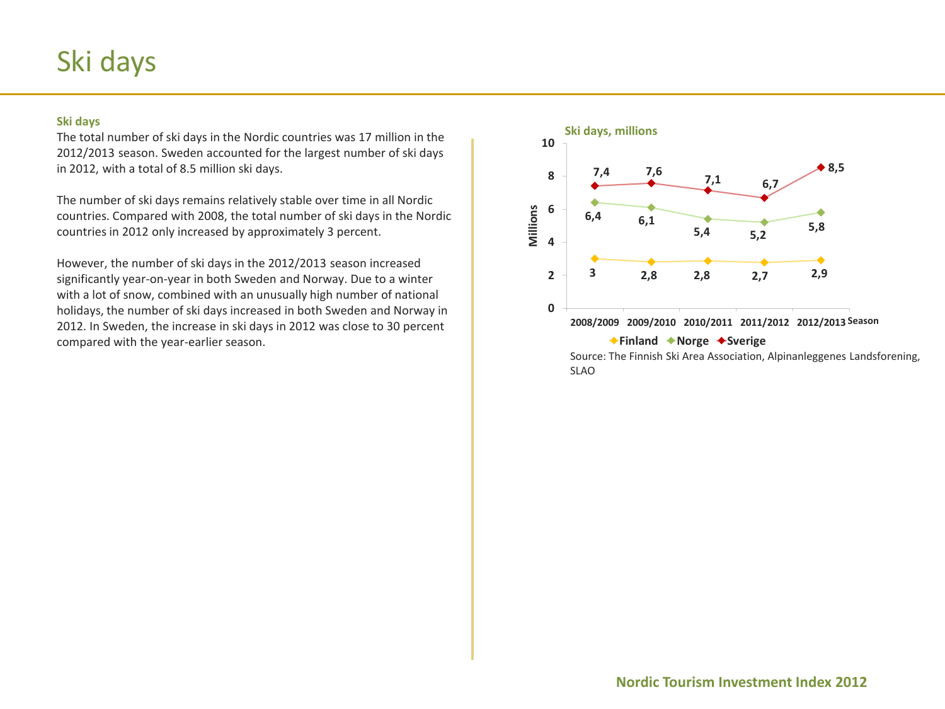## Ski days

**Ski days**<br>The total number of ski days in the Nordic countries was 17 million in the **Ski days, millions** 2012/2013 season. Sweden accounted for the largest number of ski days in 2012, with a total of 8.5 million ski days.

The number of ski days remains relatively stable over time in all Nordic countries. Compared with 2008, the total number of ski days in the Nordic countries in 2012 only increased by approximately 3 percent.

However, the number of ski days in the 2012/2013 season increased significantly year-on-year in both Sweden and Norway. Due to a winter with a lot of snow, combined with an unusually high number of national holidays, the number of ski days increased in both Sweden and Norway in 2012. In Sweden, the increase in ski days in 2012 was close to 30 percent compared with the year-earlier season.

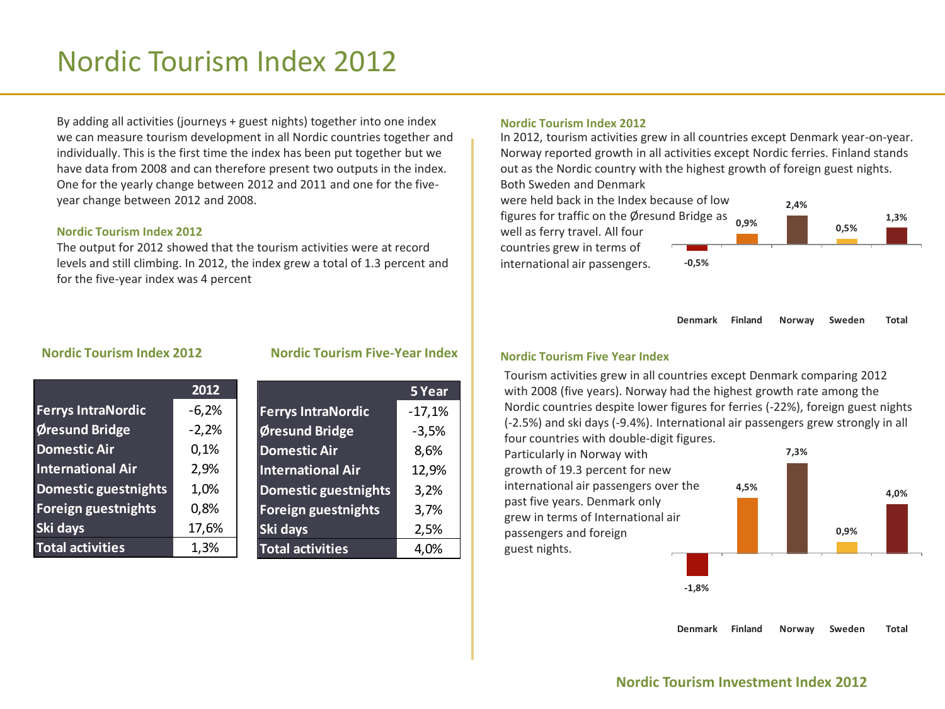## Nordic)Tourism)Index)2012

By adding all activities (journeys + guest nights) together into one index we can measure tourism development in all Nordic countries together and individually. This is the first time the index has been put together but we have data from 2008 and can therefore present two outputs in the index. One for the yearly change between 2012 and 2011 and one for the fiveyear change between 2012 and 2008.

## **Nordic'Tourism'Index'2012**

The output for 2012 showed that the tourism activities were at record levels and still climbing. In 2012, the index grew a total of 1.3 percent and for the five-year index was 4 percent

## **Nordic'Tourism'Index'2012**

In 2012, tourism activities grew in all countries except Denmark year-on-year. Norway reported growth in all activities except Nordic ferries. Finland stands out as the Nordic country with the highest growth of foreign guest nights. Both Sweden and Denmark

were held back in the Index because of low figures for traffic on the Øresund Bridge as well as ferry travel. All four countries grew in terms of international air passengers. **W0,5% 0,9% 2,4% 0,5%**

**Denmark Finland Norway Sweden Total**

**1,3%**

## **Nordic Tourism Index 2012**

|                             | 2012    |
|-----------------------------|---------|
| <b>Ferrys IntraNordic</b>   | $-6,2%$ |
| Øresund Bridge              | $-2,2%$ |
| <b>Domestic Air</b>         | 0,1%    |
| <b>International Air</b>    | 2,9%    |
| <b>Domestic guestnights</b> | 1,0%    |
| Foreign guestnights         | 0,8%    |
| Ski days                    | 17,6%   |
| <b>Total activities</b>     | 1,3%    |

|  |  | Nordic Tourism Five-Year Index |  |  |  |  |
|--|--|--------------------------------|--|--|--|--|
|--|--|--------------------------------|--|--|--|--|

|                             | 5 Year   |
|-----------------------------|----------|
| <b>Ferrys IntraNordic</b>   | $-17,1%$ |
| Øresund Bridge              | $-3,5%$  |
| <b>Domestic Air</b>         | 8,6%     |
| <b>International Air</b>    | 12,9%    |
| <b>Domestic guestnights</b> | 3,2%     |
| <b>Foreign guestnights</b>  | 3,7%     |
| Ski days                    | 2,5%     |
| <b>Total activities</b>     |          |

### **Nordic'Tourism'Five'Year'Index**

Tourism activities grew in all countries except Denmark comparing 2012 with 2008 (five years). Norway had the highest growth rate among the Nordic countries despite lower figures for ferries (-22%), foreign guest nights (-2.5%) and ski days (-9.4%). International air passengers grew strongly in all four countries with double-digit figures.

Particularly in Norway with growth of 19.3 percent for new international air passengers over the past five years. Denmark only grew in terms of International air passengers and foreign guest nights.

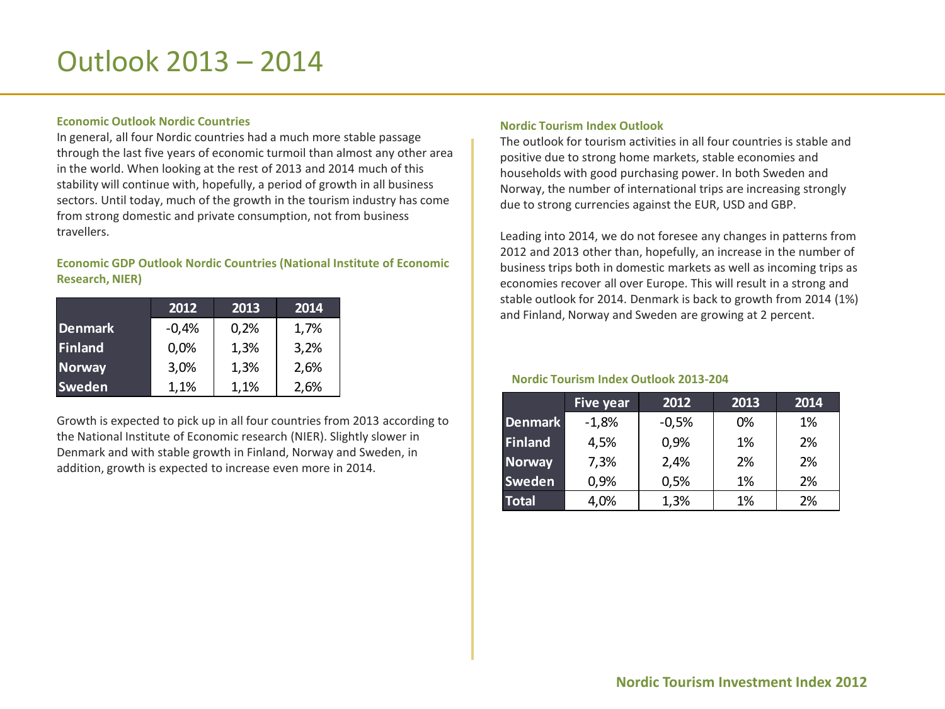## Outlook 2013 – 2014

## **Economic'Outlook'Nordic'Countries**

In general, all four Nordic countries had a much more stable passage through the last five years of economic turmoil than almost any other area in the world. When looking at the rest of 2013 and 2014 much of this stability will continue with, hopefully, a period of growth in all business sectors. Until today, much of the growth in the tourism industry has come from strong domestic and private consumption, not from business travellers.)

## **Economic GDP Outlook Nordic Countries (National Institute of Economic** Research, NIER)

|                | 2012    | 2013 | 2014 |
|----------------|---------|------|------|
| <b>Denmark</b> | $-0,4%$ | 0,2% | 1,7% |
| <b>Finland</b> | 0,0%    | 1,3% | 3,2% |
| <b>Norway</b>  | 3,0%    | 1,3% | 2,6% |
| <b>Sweden</b>  | 1,1%    | 1,1% | 2,6% |

Growth is expected to pick up in all four countries from 2013 according to the National Institute of Economic research (NIER). Slightly slower in Denmark and with stable growth in Finland, Norway and Sweden, in addition, growth is expected to increase even more in 2014.

## **Nordic'Tourism'Index'Outlook**

The outlook for tourism activities in all four countries is stable and positive due to strong home markets, stable economies and households with good purchasing power. In both Sweden and Norway, the number of international trips are increasing strongly due to strong currencies against the EUR, USD and GBP.

Leading into 2014, we do not foresee any changes in patterns from 2012 and 2013 other than, hopefully, an increase in the number of business trips both in domestic markets as well as incoming trips as economies recover all over Europe. This will result in a strong and stable outlook for 2014. Denmark is back to growth from 2014 (1%) and Finland, Norway and Sweden are growing at 2 percent.

## **Nordic Tourism Index Outlook 2013-204**

|                | <b>Five year</b> | 2012    | 2013 | 2014 |
|----------------|------------------|---------|------|------|
| <b>Denmark</b> | $-1,8%$          | $-0,5%$ | 0%   | 1%   |
| Finland        | 4,5%             | 0,9%    | 1%   | 2%   |
| <b>Norway</b>  | 7,3%             | 2,4%    | 2%   | 2%   |
| <b>Sweden</b>  | 0,9%             | 0,5%    | 1%   | 2%   |
| <b>Total</b>   | 4,0%             | 1,3%    | 1%   | 2%   |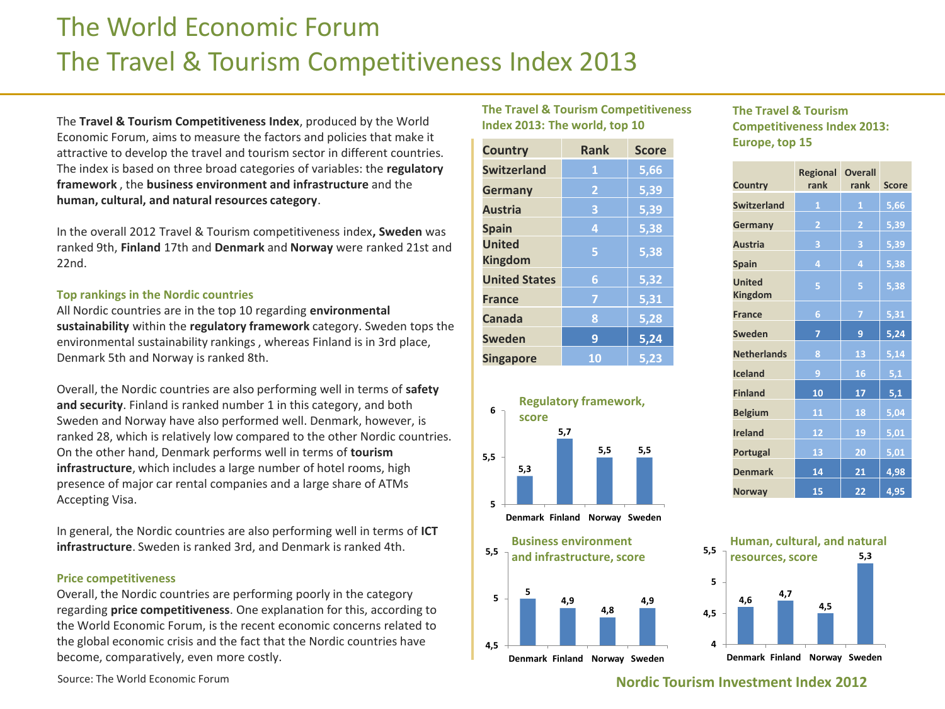## The World Economic Forum The Travel & Tourism Competitiveness Index 2013

The Travel & Tourism Competitiveness Index, produced by the World Economic Forum, aims to measure the factors and policies that make it attractive to develop the travel and tourism sector in different countries. The index is based on three broad categories of variables: the **regulatory** framework, the business environment and infrastructure and the human, cultural, and natural resources category.

In the overall 2012 Travel & Tourism competitiveness index, Sweden was ranked 9th, Finland 17th and Denmark and Norway were ranked 21st and 22nd.)

## **Top rankings in the Nordic countries**

All Nordic countries are in the top 10 regarding *environmental* sustainability within the regulatory framework category. Sweden tops the environmental sustainability rankings, whereas Finland is in 3rd place, Denmark 5th and Norway is ranked 8th.

Overall, the Nordic countries are also performing well in terms of safety and security. Finland is ranked number 1 in this category, and both Sweden and Norway have also performed well. Denmark, however, is ranked 28, which is relatively low compared to the other Nordic countries. On the other hand, Denmark performs well in terms of **tourism infrastructure**, which includes a large number of hotel rooms, high presence of major car rental companies and a large share of ATMs Accepting Visa.

In general, the Nordic countries are also performing well in terms of ICT **infrastructure**. Sweden is ranked 3rd, and Denmark is ranked 4th.

### **Price'competitiveness'**

Overall, the Nordic countries are performing poorly in the category regarding **price competitiveness**. One explanation for this, according to the World Economic Forum, is the recent economic concerns related to the global economic crisis and the fact that the Nordic countries have become, comparatively, even more costly.

Source: The World Economic Forum

## **The Travel & Tourism Competitiveness** Index 2013: The world, top 10

| <b>Country</b>                  | Rank | <b>Score</b> |
|---------------------------------|------|--------------|
| <b>Switzerland</b>              | 1    | 5,66         |
| Germany                         | 2    | 5,39         |
| <b>Austria</b>                  | 3    | 5,39         |
| <b>Spain</b>                    | 4    | 5,38         |
| <b>United</b><br><b>Kingdom</b> | 5    | 5,38         |
| <b>United States</b>            | 6    | 5,32         |
| <b>France</b>                   | 7    | 5,31         |
| Canada                          | 8    | 5,28         |
| <b>Sweden</b>                   | 9    | 5,24         |
| <b>Singapore</b>                | 10   | 5.23         |





## **The Travel & Tourism Competitiveness Index 2013:** Europe, top 15

| <b>Country</b>                  | <b>Regional</b><br>rank | Overall<br>rank | <b>Score</b> |
|---------------------------------|-------------------------|-----------------|--------------|
| <b>Switzerland</b>              |                         |                 |              |
|                                 | 1                       | 1               | 5,66         |
| Germany                         | $\overline{2}$          | $\overline{2}$  | 5,39         |
| <b>Austria</b>                  | 3                       | З               | 5,39         |
| <b>Spain</b>                    | 4                       | 4               | 5,38         |
| <b>United</b><br><b>Kingdom</b> | 5                       | 5               | 5,38         |
| <b>France</b>                   | 6                       | 7               | 5,31         |
| Sweden                          | 7                       | 9               | 5,24         |
| <b>Netherlands</b>              | 8                       | 13              | 5,14         |
| <b>Iceland</b>                  | 9                       | 16              | 5,1          |
| <b>Finland</b>                  | 10                      | 17              | 5,1          |
| <b>Belgium</b>                  | 11                      | 18              | 5,04         |
| <b>Ireland</b>                  | 12                      | 19              | 5,01         |
| Portugal                        | 13                      | 20              | 5,01         |
| <b>Denmark</b>                  | 14                      | 21              | 4,98         |
| <b>Norway</b>                   | 15                      | 22              | 4,95         |

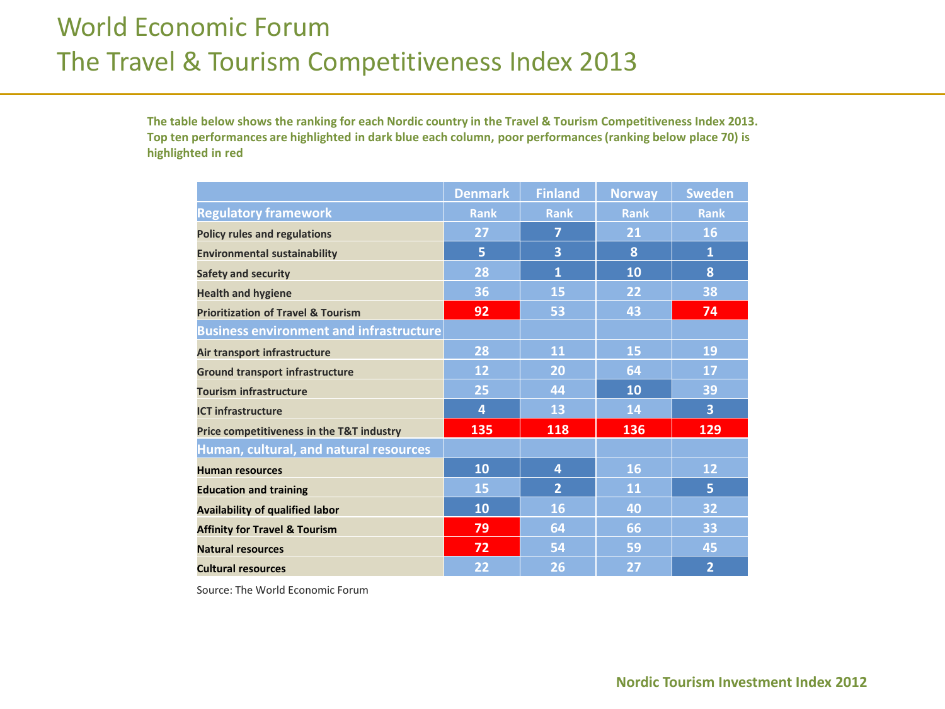## World Economic Forum The Travel & Tourism Competitiveness Index 2013

The table below shows the ranking for each Nordic country in the Travel & Tourism Competitiveness Index 2013. Top ten performances are highlighted in dark blue each column, poor performances (ranking below place 70) is highlighted in red

|                                                | <b>Denmark</b> | <b>Finland</b> | <b>Norway</b> | <b>Sweden</b>  |
|------------------------------------------------|----------------|----------------|---------------|----------------|
| <b>Regulatory framework</b>                    | <b>Rank</b>    | <b>Rank</b>    | <b>Rank</b>   | <b>Rank</b>    |
| <b>Policy rules and regulations</b>            | 27             | 7              | 21            | 16             |
| <b>Environmental sustainability</b>            | 5              | 3              | 8             | $\mathbf{1}$   |
| <b>Safety and security</b>                     | 28             | $\mathbf{1}$   | 10            | 8              |
| <b>Health and hygiene</b>                      | 36             | 15             | 22            | 38             |
| <b>Prioritization of Travel &amp; Tourism</b>  | 92             | 53             | 43            | 74             |
| <b>Business environment and infrastructure</b> |                |                |               |                |
| Air transport infrastructure                   | 28             | 11             | 15            | 19             |
| <b>Ground transport infrastructure</b>         | 12             | 20             | 64            | 17             |
| <b>Tourism infrastructure</b>                  | 25             | 44             | 10            | 39             |
| <b>ICT infrastructure</b>                      | 4              | 13             | 14            | 3              |
| Price competitiveness in the T&T industry      | 135            | 118            | 136           | 129            |
| Human, cultural, and natural resources         |                |                |               |                |
| <b>Human resources</b>                         | 10             | 4              | 16            | 12             |
| <b>Education and training</b>                  | 15             | $\overline{2}$ | 11            | 5              |
| <b>Availability of qualified labor</b>         | 10             | 16             | 40            | 32             |
| <b>Affinity for Travel &amp; Tourism</b>       | 79             | 64             | 66            | 33             |
| <b>Natural resources</b>                       | 72             | 54             | 59            | 45             |
| <b>Cultural resources</b>                      | 22             | 26             | 27            | $\overline{2}$ |

Source: The World Economic Forum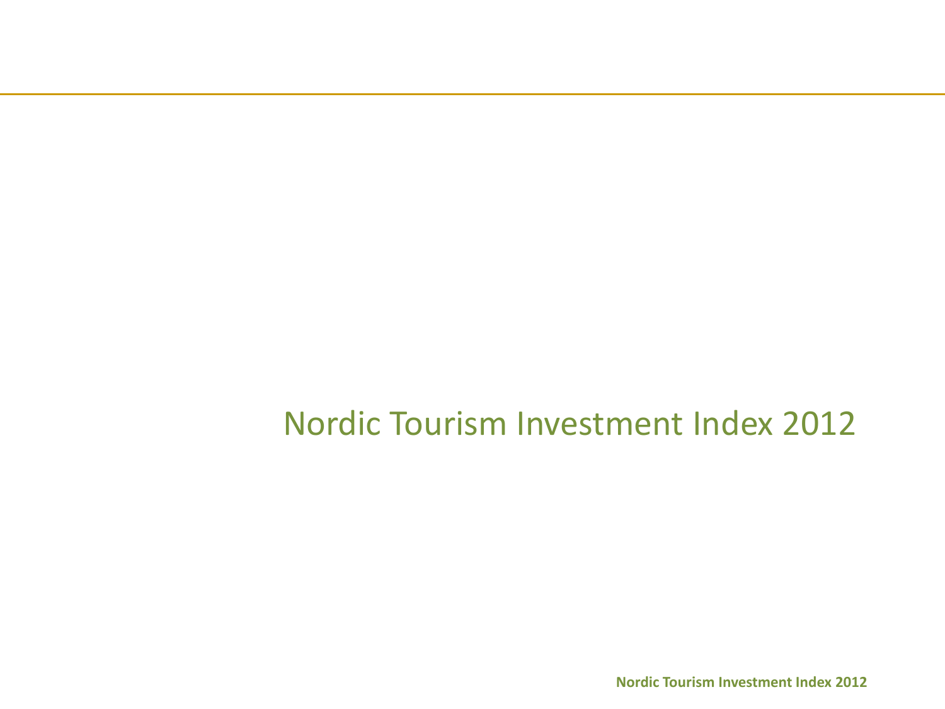Nordic Tourism Investment Index 2012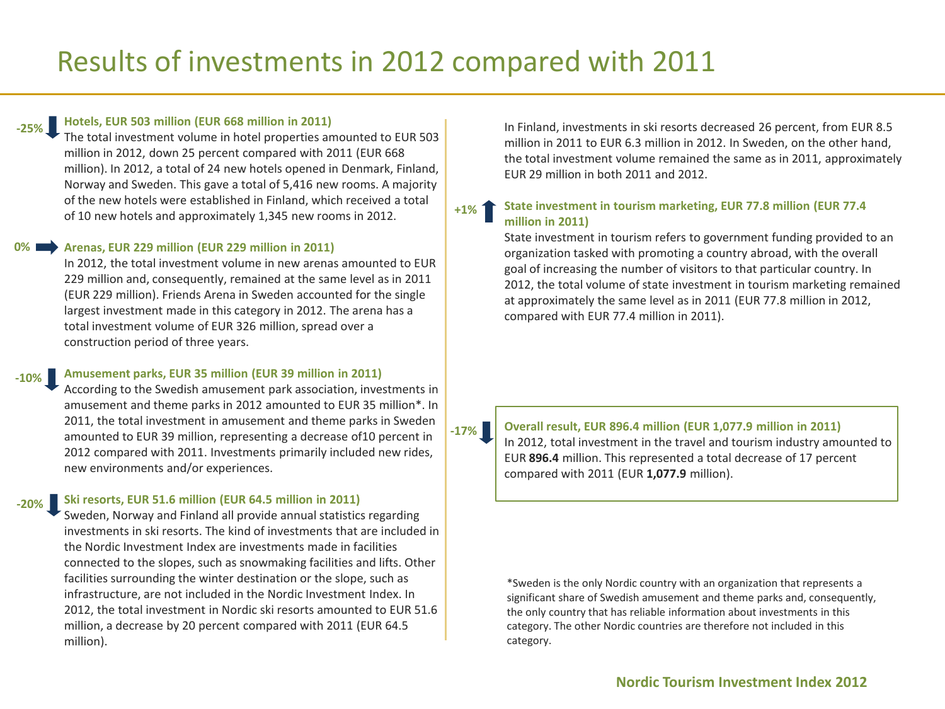### **Hotels,'EUR'503'million'(EUR'668'million'in'2011) W25%**

The total investment volume in hotel properties amounted to EUR 503 million in 2012, down 25 percent compared with 2011 (EUR 668) million). In 2012, a total of 24 new hotels opened in Denmark, Finland, Norway and Sweden. This gave a total of 5,416 new rooms. A majority of the new hotels were established in Finland, which received a total of 10 new hotels and approximately 1,345 new rooms in 2012.

#### Arenas, EUR 229 million (EUR 229 million in 2011) **0%**

In 2012, the total investment volume in new arenas amounted to EUR 229 million and, consequently, remained at the same level as in 2011 (EUR 229 million). Friends Arena in Sweden accounted for the single largest investment made in this category in 2012. The arena has a total investment volume of EUR 326 million, spread over a construction period of three years.

#### Amusement parks, EUR 35 million (EUR 39 million in 2011)  $-10\%$

According to the Swedish amusement park association, investments in amusement and theme parks in 2012 amounted to EUR 35 million\*. In 2011, the total investment in amusement and theme parks in Sweden amounted to EUR 39 million, representing a decrease of10 percent in 2012 compared with 2011. Investments primarily included new rides, new environments and/or experiences.

### Ski resorts, EUR 51.6 million (EUR 64.5 million in 2011) **W20%**

Sweden, Norway and Finland all provide annual statistics regarding investments in ski resorts. The kind of investments that are included in the Nordic Investment Index are investments made in facilities connected to the slopes, such as snowmaking facilities and lifts. Other facilities surrounding the winter destination or the slope, such as infrastructure, are not included in the Nordic Investment Index. In 2012, the total investment in Nordic ski resorts amounted to EUR 51.6 million, a decrease by 20 percent compared with 2011 (EUR 64.5) million).

In Finland, investments in ski resorts decreased 26 percent, from EUR 8.5 million in 2011 to EUR 6.3 million in 2012. In Sweden, on the other hand, the total investment volume remained the same as in 2011, approximately EUR 29 million in both 2011 and 2012.

### State investment in tourism marketing, EUR 77.8 million (EUR 77.4) **million'in'2011)' +1%**

State investment in tourism refers to government funding provided to an organization tasked with promoting a country abroad, with the overall goal of increasing the number of visitors to that particular country. In 2012, the total volume of state investment in tourism marketing remained at approximately the same level as in 2011 (EUR 77.8 million in 2012, compared with EUR 77.4 million in 2011).

**W17%**

**Overall result, EUR 896.4 million (EUR 1,077.9 million in 2011)** In 2012, total investment in the travel and tourism industry amounted to EUR 896.4 million. This represented a total decrease of 17 percent compared with 2011 (EUR 1,077.9 million).

\*Sweden is the only Nordic country with an organization that represents a significant share of Swedish amusement and theme parks and, consequently, the only country that has reliable information about investments in this category. The other Nordic countries are therefore not included in this category.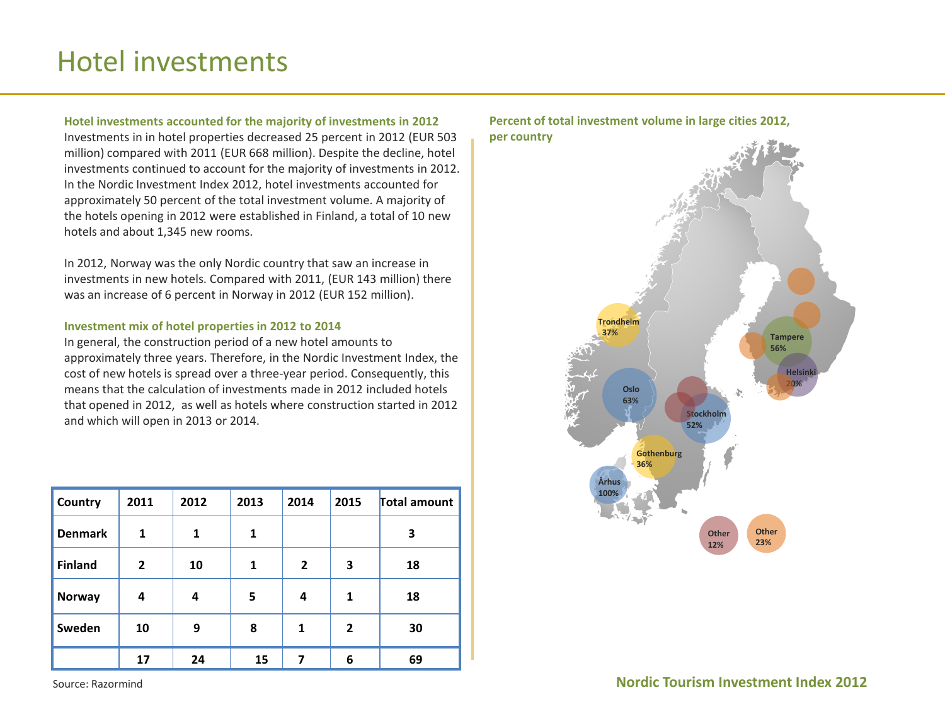## Hotel investments

## **Hotel'investments'accounted'for'the'majority'of'investments'in'2012'**

Investments in in hotel properties decreased 25 percent in 2012 (EUR 503) million) compared with 2011 (EUR 668 million). Despite the decline, hotel investments continued to account for the majority of investments in 2012. In the Nordic Investment Index 2012, hotel investments accounted for approximately 50 percent of the total investment volume. A majority of the hotels opening in 2012 were established in Finland, a total of 10 new hotels and about 1,345 new rooms.

In 2012, Norway was the only Nordic country that saw an increase in investments in new hotels. Compared with 2011, (EUR 143 million) there was an increase of 6 percent in Norway in 2012 (EUR 152 million).

## Investment mix of hotel properties in 2012 to 2014

In general, the construction period of a new hotel amounts to approximately three years. Therefore, in the Nordic Investment Index, the cost of new hotels is spread over a three-year period. Consequently, this means that the calculation of investments made in 2012 included hotels that opened in 2012, as well as hotels where construction started in 2012 and which will open in 2013 or 2014.

| <b>Country</b> | 2011           | 2012 | 2013 | 2014         | 2015         | Total amount |
|----------------|----------------|------|------|--------------|--------------|--------------|
| <b>Denmark</b> | $\mathbf{1}$   | 1    | 1    |              |              | 3            |
| <b>Finland</b> | $\overline{2}$ | 10   | 1    | $\mathbf{2}$ | 3            | 18           |
| Norway         | 4              | 4    | 5    | 4            | $\mathbf{1}$ | 18           |
| Sweden         | 10             | 9    | 8    | $\mathbf{1}$ | $\mathbf{2}$ | 30           |
|                | 17             | 24   | 15   |              | 6            | 69           |



## Percent of total investment volume in large cities 2012, **per'country**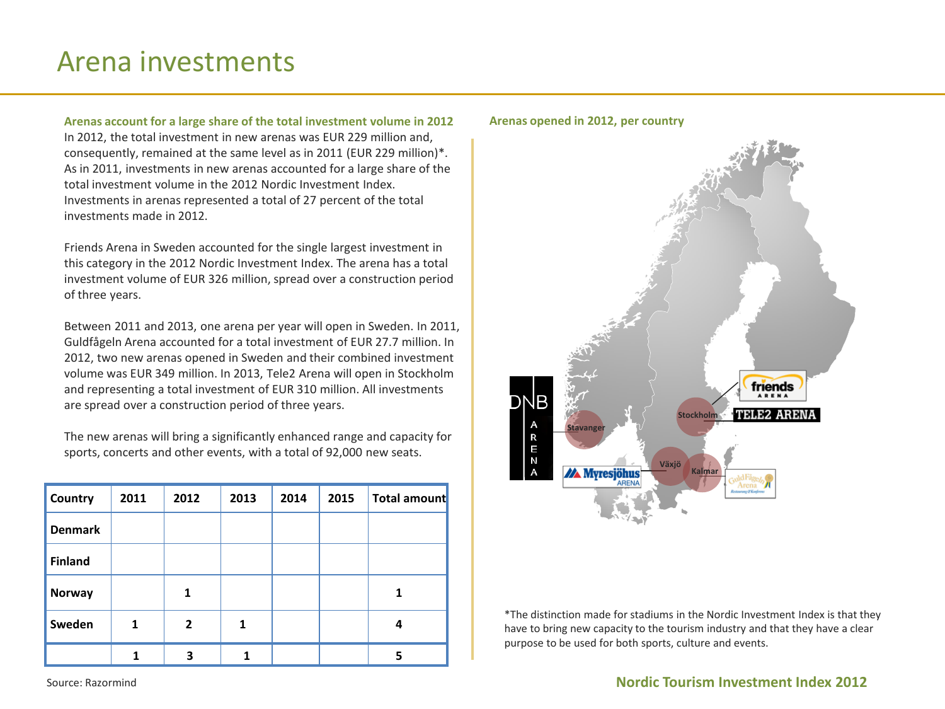## Arena investments

Arenas account for a large share of the total investment volume in 2012 In 2012, the total investment in new arenas was EUR 229 million and, consequently, remained at the same level as in 2011 (EUR 229 million)\*. As in 2011, investments in new arenas accounted for a large share of the total investment volume in the 2012 Nordic Investment Index. Investments in arenas represented a total of 27 percent of the total investments made in 2012.

Friends Arena in Sweden accounted for the single largest investment in this category in the 2012 Nordic Investment Index. The arena has a total investment volume of EUR 326 million, spread over a construction period of three years.

Between 2011 and 2013, one arena per year will open in Sweden. In 2011, Guldfågeln Arena accounted for a total investment of EUR 27.7 million. In 2012, two new arenas opened in Sweden and their combined investment volume was EUR 349 million. In 2013, Tele2 Arena will open in Stockholm and representing a total investment of EUR 310 million. All investments are spread over a construction period of three years.

The new arenas will bring a significantly enhanced range and capacity for sports, concerts and other events, with a total of 92,000 new seats.

| Country        | 2011 | 2012         | 2013 | 2014 | 2015 | <b>Total amount</b> |
|----------------|------|--------------|------|------|------|---------------------|
| <b>Denmark</b> |      |              |      |      |      |                     |
| <b>Finland</b> |      |              |      |      |      |                     |
| <b>Norway</b>  |      | 1            |      |      |      | 1                   |
| Sweden         | 1    | $\mathbf{2}$ |      |      |      | 4                   |
|                |      | 3            |      |      |      | 5                   |





\*The distinction made for stadiums in the Nordic Investment Index is that they have to bring new capacity to the tourism industry and that they have a clear purpose to be used for both sports, culture and events.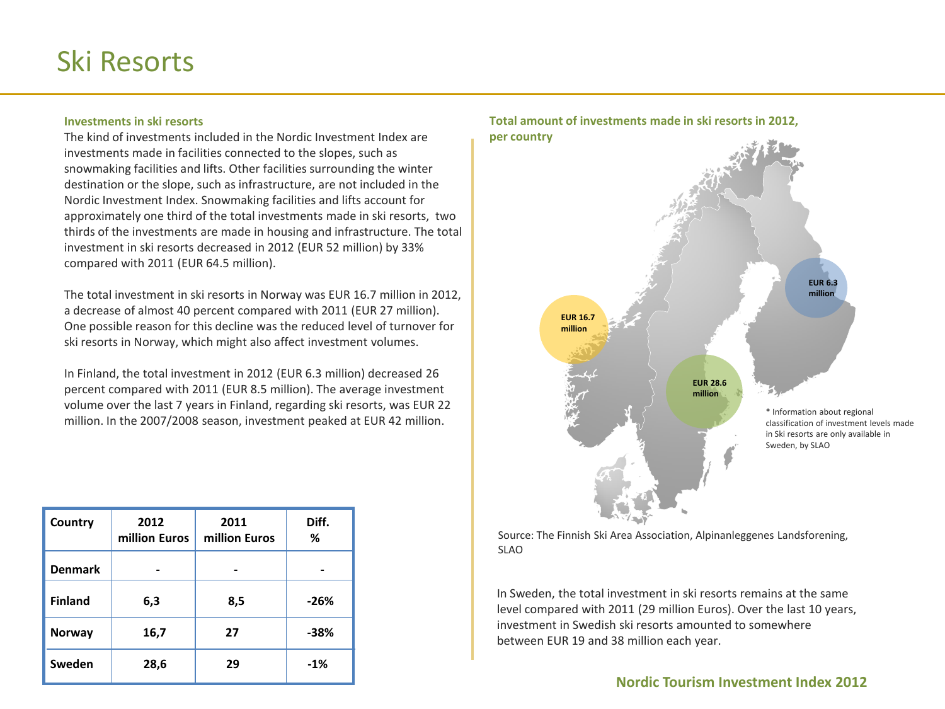## Ski Resorts

## **Investments'in'ski'resorts'**

The kind of investments included in the Nordic Investment Index are investments made in facilities connected to the slopes, such as snowmaking facilities and lifts. Other facilities surrounding the winter destination or the slope, such as infrastructure, are not included in the Nordic Investment Index. Snowmaking facilities and lifts account for approximately one third of the total investments made in ski resorts, two thirds of the investments are made in housing and infrastructure. The total investment in ski resorts decreased in 2012 (EUR 52 million) by 33% compared with 2011 (EUR 64.5 million).

The total investment in ski resorts in Norway was EUR 16.7 million in 2012, a decrease of almost 40 percent compared with 2011 (EUR 27 million). One possible reason for this decline was the reduced level of turnover for ski resorts in Norway, which might also affect investment volumes.

In Finland, the total investment in 2012 (EUR 6.3 million) decreased 26 percent compared with 2011 (EUR 8.5 million). The average investment volume over the last 7 years in Finland, regarding ski resorts, was EUR 22 million. In the 2007/2008 season, investment peaked at EUR 42 million.

| Country        | 2012<br>million Euros | 2011<br>million Euros | Diff.<br>%     |
|----------------|-----------------------|-----------------------|----------------|
| <b>Denmark</b> |                       | ۰                     | $\blacksquare$ |
| <b>Finland</b> | 6,3                   | 8,5                   | $-26%$         |
| <b>Norway</b>  | 16,7                  | 27                    | -38%           |
| Sweden         | 28,6                  | 29                    | $-1%$          |

## \* Information about regional classification of investment levels made in Ski resorts are only available in Total amount of investments made in ski resorts in 2012, **per'country EUR'28.6 million EUR'16.7' million' EUR'6.3 million**

Source: The Finnish Ski Area Association, Alpinanleggenes Landsforening, SLAO

In Sweden, the total investment in ski resorts remains at the same level compared with 2011 (29 million Euros). Over the last 10 years, investment in Swedish ski resorts amounted to somewhere between EUR 19 and 38 million each year.

## **Nordic Tourism Investment Index 2012**

Sweden, by SLAO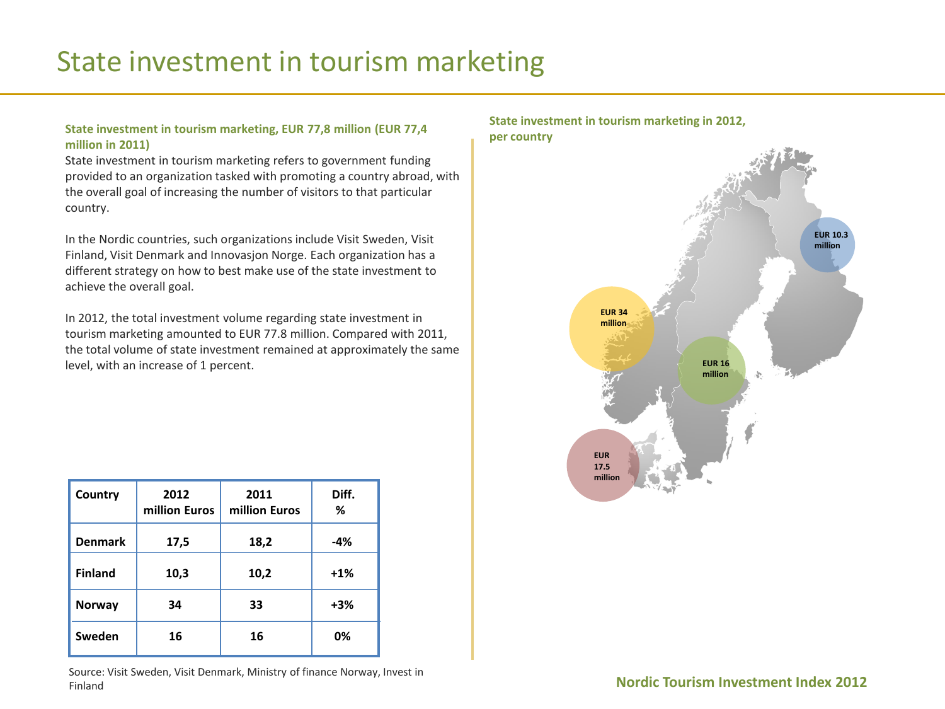## State investment in tourism marketing

## State investment in tourism marketing, EUR 77,8 million (EUR 77,4) **million'in'2011)'**

State investment in tourism marketing refers to government funding provided to an organization tasked with promoting a country abroad, with the overall goal of increasing the number of visitors to that particular country.

In the Nordic countries, such organizations include Visit Sweden, Visit Finland, Visit Denmark and Innovasjon Norge. Each organization has a different strategy on how to best make use of the state investment to achieve the overall goal.

In 2012, the total investment volume regarding state investment in tourism marketing amounted to EUR 77.8 million. Compared with 2011, the total volume of state investment remained at approximately the same level, with an increase of 1 percent.

| Country        | 2012<br>million Euros | 2011<br>million Euros | Diff.<br>% |
|----------------|-----------------------|-----------------------|------------|
| <b>Denmark</b> | 17,5                  | 18,2                  | -4%        |
| <b>Finland</b> | 10,3                  | 10,2                  | $+1\%$     |
| Norway         | 34                    | 33                    | $+3%$      |
| Sweden         | 16                    | 16                    | 0%         |

Source: Visit Sweden, Visit Denmark, Ministry of finance Norway, Invest in Finland)

## State investment in tourism marketing in 2012, **per'country**

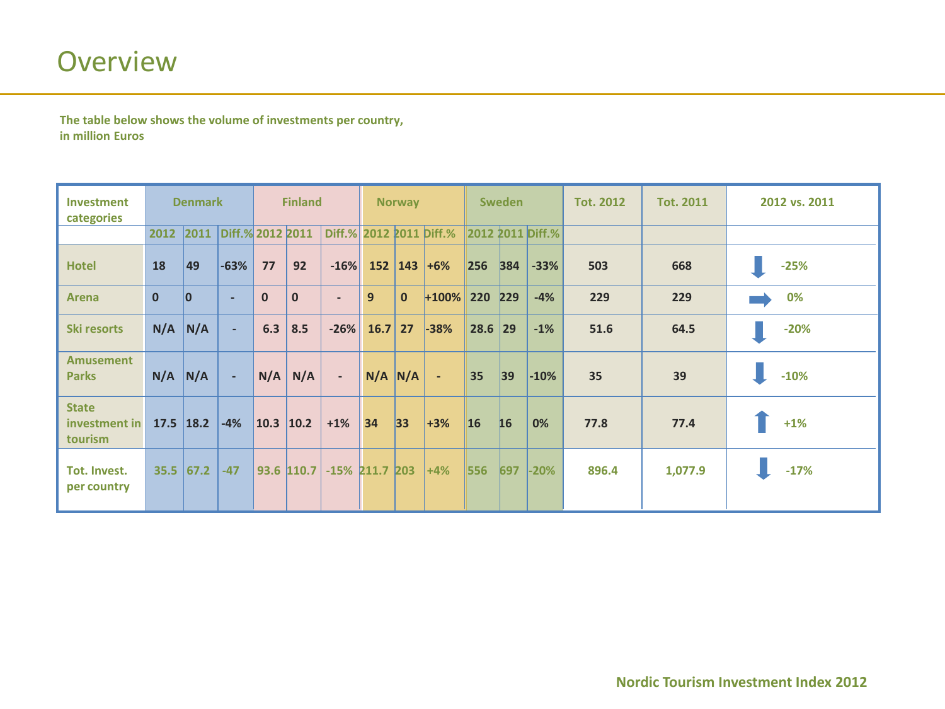The table below shows the volume of investments per country, **in million Euros** 

| Investment<br>categories                 | <b>Denmark</b> |                |                  | <b>Finland</b> |                |                          | <b>Norway</b>  |              |              | <b>Sweden</b> |     |                  | <b>Tot. 2012</b> | <b>Tot. 2011</b> | 2012 vs. 2011 |
|------------------------------------------|----------------|----------------|------------------|----------------|----------------|--------------------------|----------------|--------------|--------------|---------------|-----|------------------|------------------|------------------|---------------|
|                                          | 2012           | 2011           | Diff.% 2012 2011 |                |                | Diff.% 2012 2011 Diff.%  |                |              |              |               |     | 2012 2011 Diff.% |                  |                  |               |
| <b>Hotel</b>                             | 18             | 49             | $-63%$           | 77             | 92             | $-16%$                   | 152            | 143          | $+6%$        | 256           | 384 | $-33%$           | 503              | 668              | $-25%$        |
| <b>Arena</b>                             | $\mathbf{0}$   | $\overline{0}$ | ٠                | $\mathbf{0}$   | $\mathbf{0}$   | $\overline{\phantom{a}}$ | $\overline{9}$ | $\mathbf{0}$ | $+100\%$ 220 |               | 229 | $-4%$            | 229              | 229              | 0%            |
| <b>Ski resorts</b>                       | N/A            | N/A            | $\sim$           | 6.3            | 8.5            | $-26%$                   | 16.7           | 27           | $-38%$       | 28.6          | 29  | $-1\%$           | 51.6             | 64.5             | $-20%$        |
| <b>Amusement</b><br><b>Parks</b>         | N/A            | N/A            | $\blacksquare$   | N/A            | N/A            | $\blacksquare$           | $N/A$ $N/A$    |              | $\sim$       | 35            | 39  | $-10%$           | 35               | 39               | $-10%$        |
| <b>State</b><br>investment in<br>tourism | $17.5$ 18.2    |                | $-4%$            | 10.3           | $ 10.2\rangle$ | $+1%$                    | 34             | 33           | $+3%$        | <b>16</b>     | 16  | 0%               | 77.8             | 77.4             | $+1%$         |
| Tot. Invest.<br>per country              | 35.5           | 67.2           | $-47$            | 93.6           | 110.7          | $-15\%$ 211.7            |                | 203          | $+4%$        | 556           | 697 | $-20%$           | 896.4            | 1,077.9          | $-17%$        |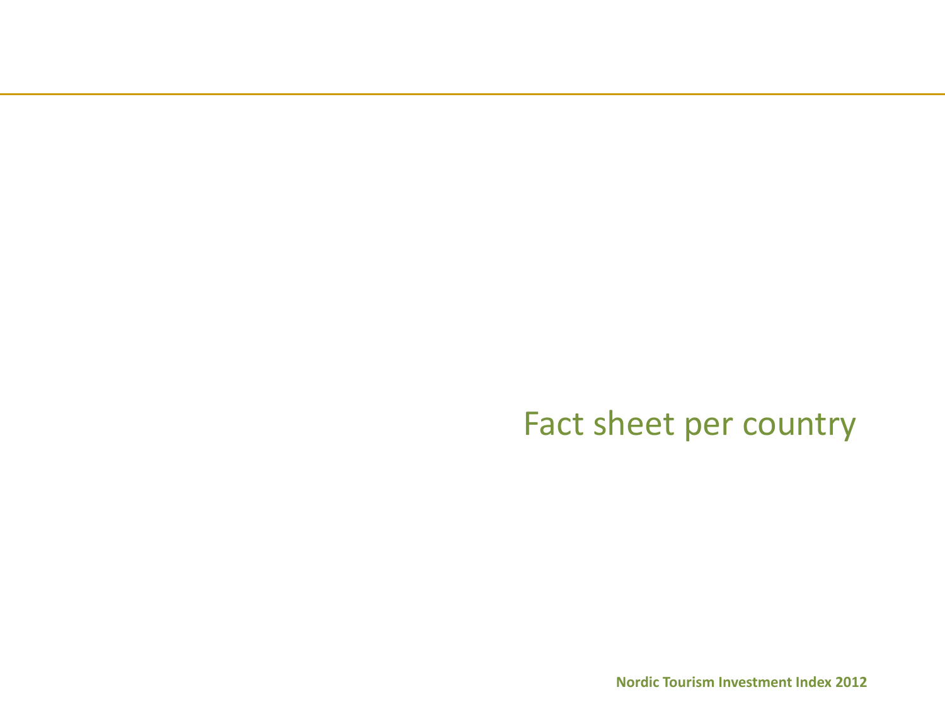Fact sheet per country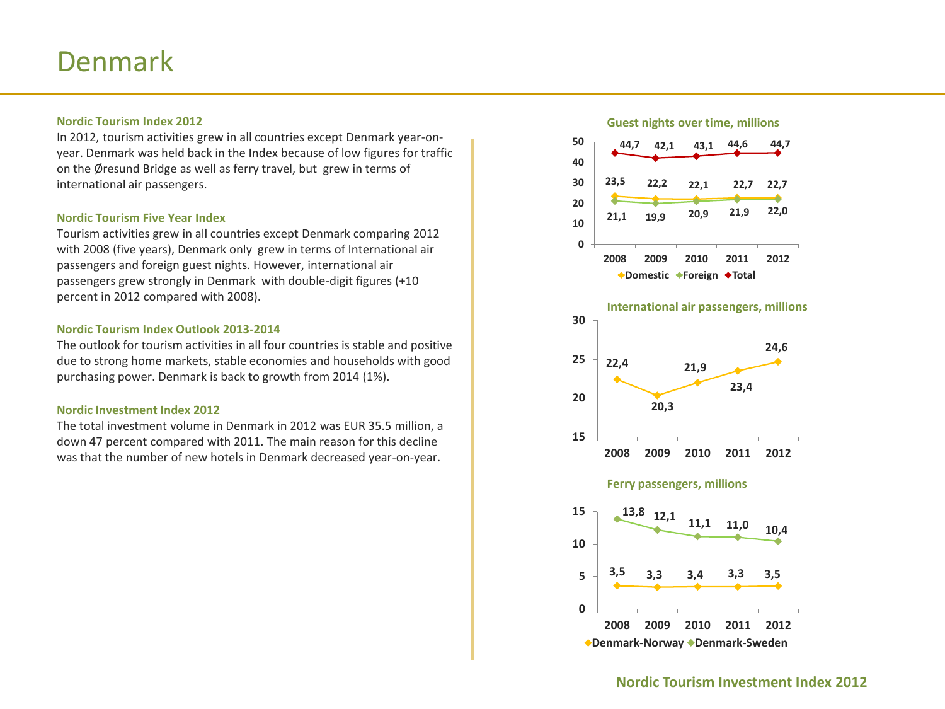## Denmark)

## **Nordic'Tourism'Index'2012**

In 2012, tourism activities grew in all countries except Denmark year-onyear. Denmark was held back in the Index because of low figures for traffic on the Øresund Bridge as well as ferry travel, but grew in terms of international air passengers.

## **Nordic Tourism Five Year Index**

Tourism activities grew in all countries except Denmark comparing 2012 with 2008 (five years), Denmark only grew in terms of International air passengers and foreign guest nights. However, international air passengers grew strongly in Denmark with double-digit figures (+10) percent in 2012 compared with 2008).

## **Nordic Tourism Index Outlook 2013-2014**

The outlook for tourism activities in all four countries is stable and positive due to strong home markets, stable economies and households with good purchasing power. Denmark is back to growth from 2014 (1%).

## **Nordic Investment Index 2012**

The total investment volume in Denmark in 2012 was EUR 35.5 million, a down 47 percent compared with 2011. The main reason for this decline was that the number of new hotels in Denmark decreased year-on-year.

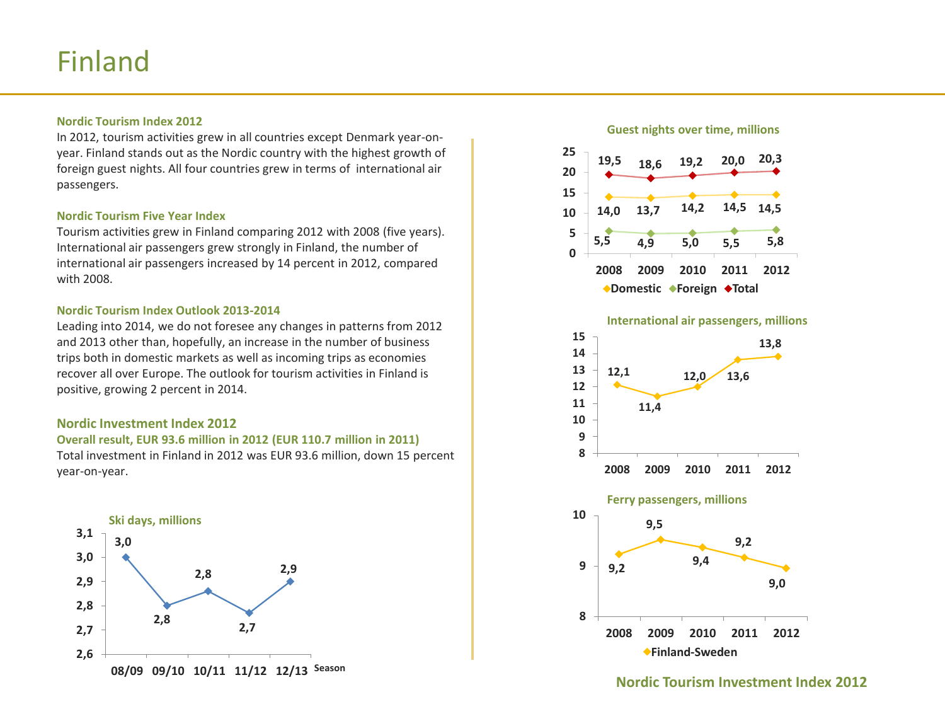## Finland

## **Nordic'Tourism'Index'2012**

In 2012, tourism activities grew in all countries except Denmark year-onyear. Finland stands out as the Nordic country with the highest growth of foreign guest nights. All four countries grew in terms of international air passengers.

## **Nordic'Tourism'Five'Year'Index**

Tourism activities grew in Finland comparing 2012 with 2008 (five years). International air passengers grew strongly in Finland, the number of international air passengers increased by 14 percent in 2012, compared with 2008.

## **Nordic Tourism Index Outlook 2013-2014**

Leading into 2014, we do not foresee any changes in patterns from 2012 and 2013 other than, hopefully, an increase in the number of business trips both in domestic markets as well as incoming trips as economies recover all over Europe. The outlook for tourism activities in Finland is positive, growing 2 percent in 2014.

## **Nordic Investment Index 2012**

## **Overall'result,'EUR'93.6'million'in'2012'(EUR'110.7'million'in'2011)** Total investment in Finland in 2012 was EUR 93.6 million, down 15 percent

year-on-year.



### **Guest nights over time, millions**



## International air passengers, millions

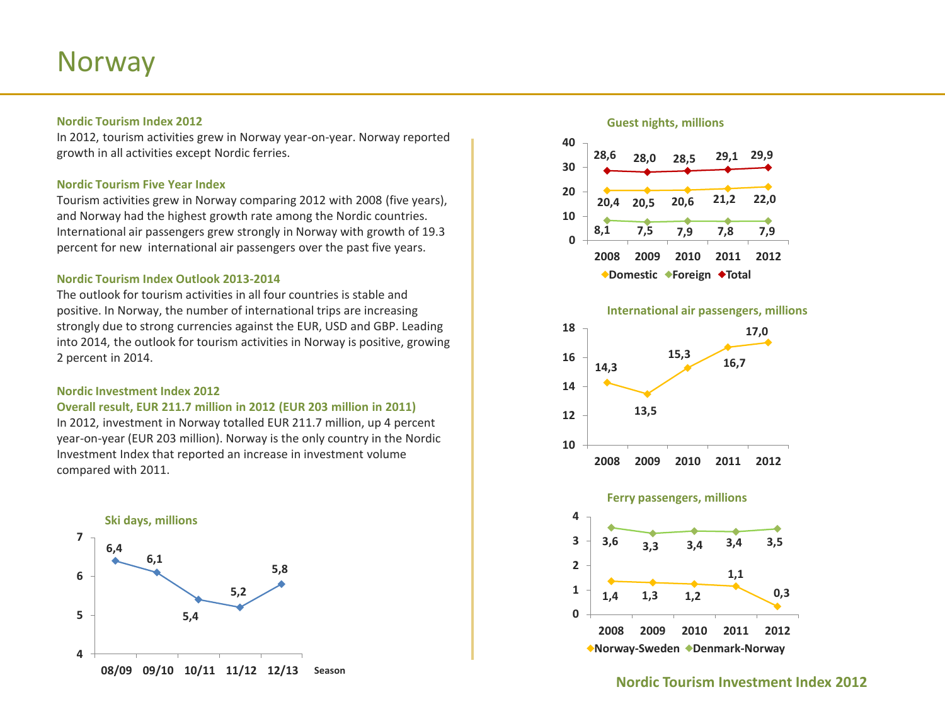## Norway)

## **Nordic'Tourism'Index'2012**

In 2012, tourism activities grew in Norway year-on-year. Norway reported growth in all activities except Nordic ferries.

## **Nordic Tourism Five Year Index**

Tourism activities grew in Norway comparing 2012 with 2008 (five years), and Norway had the highest growth rate among the Nordic countries. International air passengers grew strongly in Norway with growth of 19.3 percent for new international air passengers over the past five years.

## **Nordic Tourism Index Outlook 2013-2014**

The outlook for tourism activities in all four countries is stable and positive. In Norway, the number of international trips are increasing strongly due to strong currencies against the EUR, USD and GBP. Leading into 2014, the outlook for tourism activities in Norway is positive, growing 2 percent in 2014.

## **Nordic Investment Index 2012**

### **Overall result, EUR 211.7 million in 2012 (EUR 203 million in 2011)**

In 2012, investment in Norway totalled EUR 211.7 million, up 4 percent year-on-year (EUR 203 million). Norway is the only country in the Nordic Investment Index that reported an increase in investment volume compared with 2011.



## **Guest nights, millions**







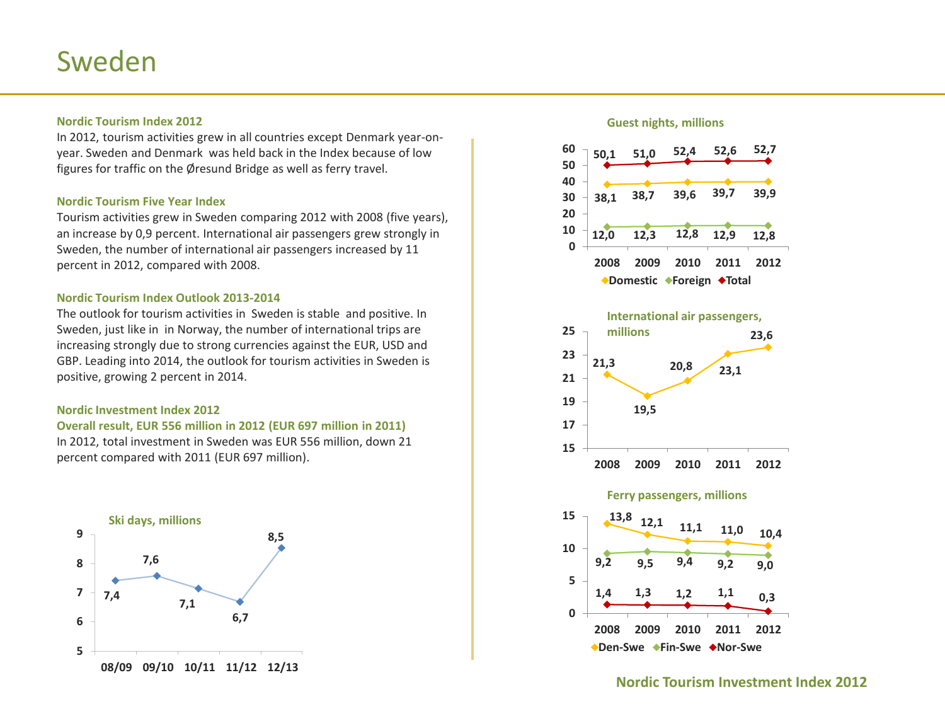## Sweden)

## **Nordic Tourism Index 2012 Guest** index 2012

In 2012, tourism activities grew in all countries except Denmark year-onyear. Sweden and Denmark was held back in the Index because of low figures for traffic on the Øresund Bridge as well as ferry travel.

## **Nordic Tourism Five Year Index**

Tourism activities grew in Sweden comparing 2012 with 2008 (five years), an increase by 0,9 percent. International air passengers grew strongly in Sweden, the number of international air passengers increased by 11 percent in 2012, compared with 2008.

## **Nordic Tourism Index Outlook 2013-2014**

The outlook for tourism activities in Sweden is stable and positive. In Sweden, just like in in Norway, the number of international trips are increasing strongly due to strong currencies against the EUR, USD and GBP. Leading into 2014, the outlook for tourism activities in Sweden is positive, growing 2 percent in 2014.

## **Nordic Investment Index 2012**

**Overall'result,'EUR'556'million'in'2012'(EUR'697'million'in'2011)** In 2012, total investment in Sweden was EUR 556 million, down 21 percent compared with 2011 (EUR 697 million).





◆Den-Swe ◆Fin-Swe ◆Nor-Swe